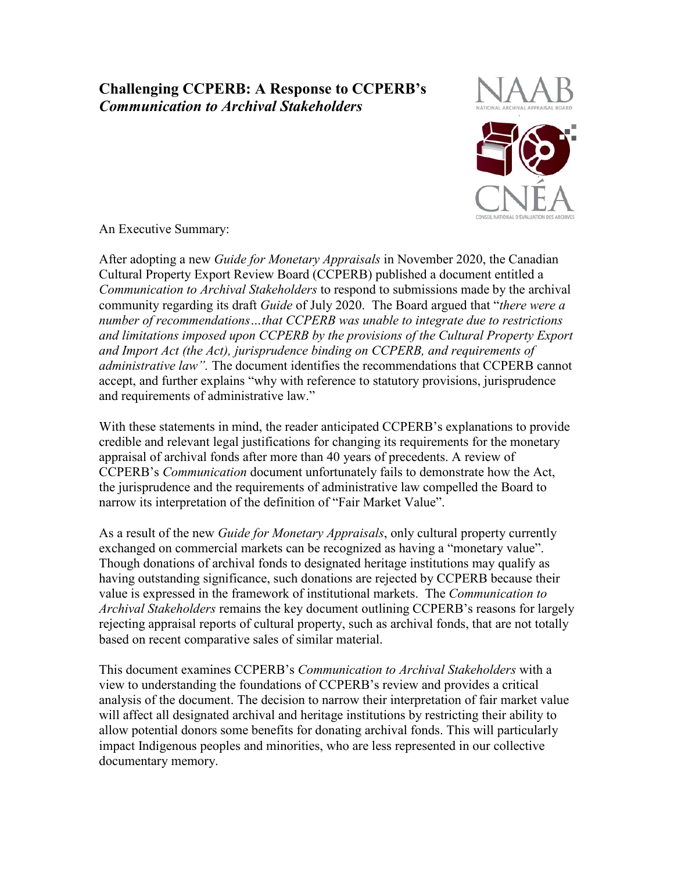# **Challenging CCPERB: A Response to CCPERB's** *Communication to Archival Stakeholders*



An Executive Summary:

After adopting a new *Guide for Monetary Appraisals* in November 2020, the Canadian Cultural Property Export Review Board (CCPERB) published a document entitled a *Communication to Archival Stakeholders* to respond to submissions made by the archival community regarding its draft *Guide* of July 2020. The Board argued that "*there were a number of recommendations…that CCPERB was unable to integrate due to restrictions and limitations imposed upon CCPERB by the provisions of the Cultural Property Export and Import Act (the Act), jurisprudence binding on CCPERB, and requirements of administrative law".* The document identifies the recommendations that CCPERB cannot accept, and further explains "why with reference to statutory provisions, jurisprudence and requirements of administrative law."

With these statements in mind, the reader anticipated CCPERB's explanations to provide credible and relevant legal justifications for changing its requirements for the monetary appraisal of archival fonds after more than 40 years of precedents. A review of CCPERB's *Communication* document unfortunately fails to demonstrate how the Act, the jurisprudence and the requirements of administrative law compelled the Board to narrow its interpretation of the definition of "Fair Market Value".

As a result of the new *Guide for Monetary Appraisals*, only cultural property currently exchanged on commercial markets can be recognized as having a "monetary value". Though donations of archival fonds to designated heritage institutions may qualify as having outstanding significance, such donations are rejected by CCPERB because their value is expressed in the framework of institutional markets. The *Communication to Archival Stakeholders* remains the key document outlining CCPERB's reasons for largely rejecting appraisal reports of cultural property, such as archival fonds, that are not totally based on recent comparative sales of similar material.

This document examines CCPERB's *Communication to Archival Stakeholders* with a view to understanding the foundations of CCPERB's review and provides a critical analysis of the document. The decision to narrow their interpretation of fair market value will affect all designated archival and heritage institutions by restricting their ability to allow potential donors some benefits for donating archival fonds. This will particularly impact Indigenous peoples and minorities, who are less represented in our collective documentary memory.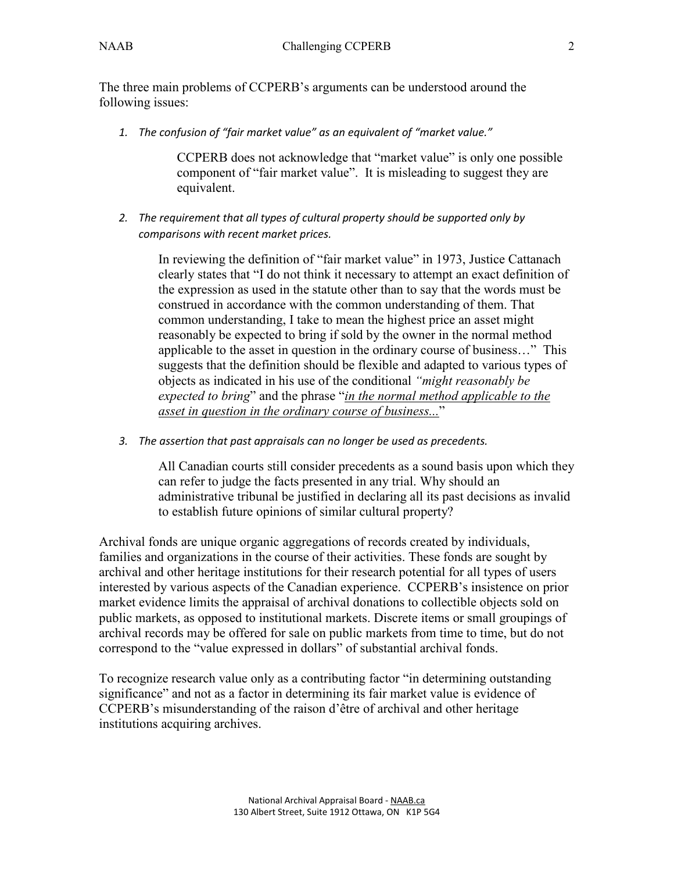The three main problems of CCPERB's arguments can be understood around the following issues:

*1. The confusion of "fair market value" as an equivalent of "market value."*

CCPERB does not acknowledge that "market value" is only one possible component of "fair market value". It is misleading to suggest they are equivalent.

*2. The requirement that all types of cultural property should be supported only by comparisons with recent market prices.*

In reviewing the definition of "fair market value" in 1973, Justice Cattanach clearly states that "I do not think it necessary to attempt an exact definition of the expression as used in the statute other than to say that the words must be construed in accordance with the common understanding of them. That common understanding, I take to mean the highest price an asset might reasonably be expected to bring if sold by the owner in the normal method applicable to the asset in question in the ordinary course of business…" This suggests that the definition should be flexible and adapted to various types of objects as indicated in his use of the conditional *"might reasonably be expected to bring*" and the phrase "*in the normal method applicable to the asset in question in the ordinary course of business...*"

*3. The assertion that past appraisals can no longer be used as precedents.*

All Canadian courts still consider precedents as a sound basis upon which they can refer to judge the facts presented in any trial. Why should an administrative tribunal be justified in declaring all its past decisions as invalid to establish future opinions of similar cultural property?

Archival fonds are unique organic aggregations of records created by individuals, families and organizations in the course of their activities. These fonds are sought by archival and other heritage institutions for their research potential for all types of users interested by various aspects of the Canadian experience. CCPERB's insistence on prior market evidence limits the appraisal of archival donations to collectible objects sold on public markets, as opposed to institutional markets. Discrete items or small groupings of archival records may be offered for sale on public markets from time to time, but do not correspond to the "value expressed in dollars" of substantial archival fonds.

To recognize research value only as a contributing factor "in determining outstanding significance" and not as a factor in determining its fair market value is evidence of CCPERB's misunderstanding of the raison d'être of archival and other heritage institutions acquiring archives.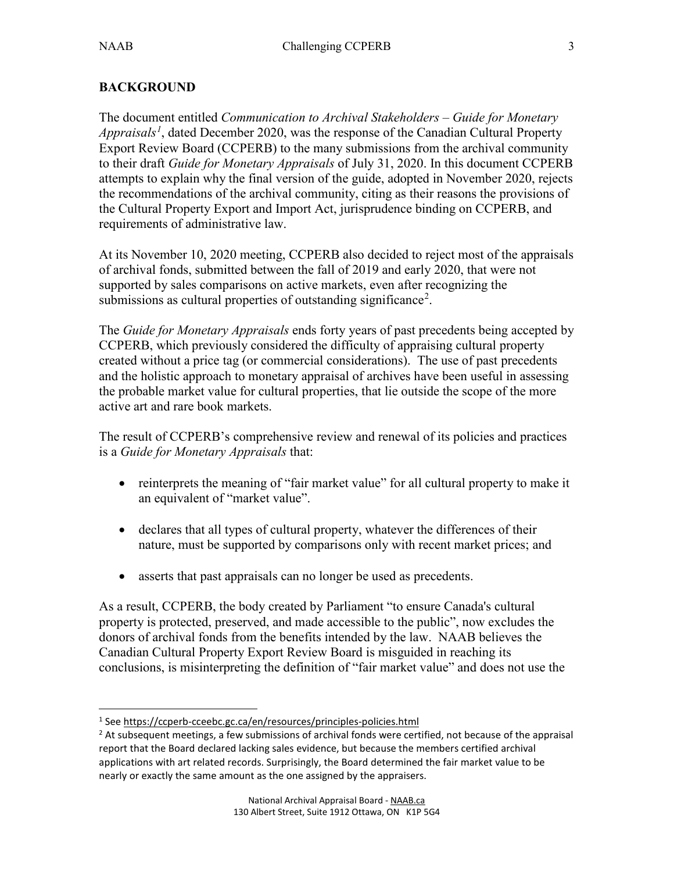$\overline{a}$ 

# **BACKGROUND**

The document entitled *Communication to Archival Stakeholders – Guide for Monetary Appraisals[1](#page-2-0)* , dated December 2020, was the response of the Canadian Cultural Property Export Review Board (CCPERB) to the many submissions from the archival community to their draft *Guide for Monetary Appraisals* of July 31, 2020. In this document CCPERB attempts to explain why the final version of the guide, adopted in November 2020, rejects the recommendations of the archival community, citing as their reasons the provisions of the Cultural Property Export and Import Act, jurisprudence binding on CCPERB, and requirements of administrative law.

At its November 10, 2020 meeting, CCPERB also decided to reject most of the appraisals of archival fonds, submitted between the fall of 2019 and early 2020, that were not supported by sales comparisons on active markets, even after recognizing the submissions as cultural properties of outstanding significance<sup>[2](#page-2-1)</sup>.

The *Guide for Monetary Appraisals* ends forty years of past precedents being accepted by CCPERB, which previously considered the difficulty of appraising cultural property created without a price tag (or commercial considerations). The use of past precedents and the holistic approach to monetary appraisal of archives have been useful in assessing the probable market value for cultural properties, that lie outside the scope of the more active art and rare book markets.

The result of CCPERB's comprehensive review and renewal of its policies and practices is a *Guide for Monetary Appraisals* that:

- reinterprets the meaning of "fair market value" for all cultural property to make it an equivalent of "market value".
- declares that all types of cultural property, whatever the differences of their nature, must be supported by comparisons only with recent market prices; and
- asserts that past appraisals can no longer be used as precedents.

As a result, CCPERB, the body created by Parliament "to ensure Canada's cultural property is protected, preserved, and made accessible to the public", now excludes the donors of archival fonds from the benefits intended by the law. NAAB believes the Canadian Cultural Property Export Review Board is misguided in reaching its conclusions, is misinterpreting the definition of "fair market value" and does not use the

<span id="page-2-0"></span><sup>1</sup> See <https://ccperb-cceebc.gc.ca/en/resources/principles-policies.html>

<span id="page-2-1"></span><sup>&</sup>lt;sup>2</sup> At subsequent meetings, a few submissions of archival fonds were certified, not because of the appraisal report that the Board declared lacking sales evidence, but because the members certified archival applications with art related records. Surprisingly, the Board determined the fair market value to be nearly or exactly the same amount as the one assigned by the appraisers.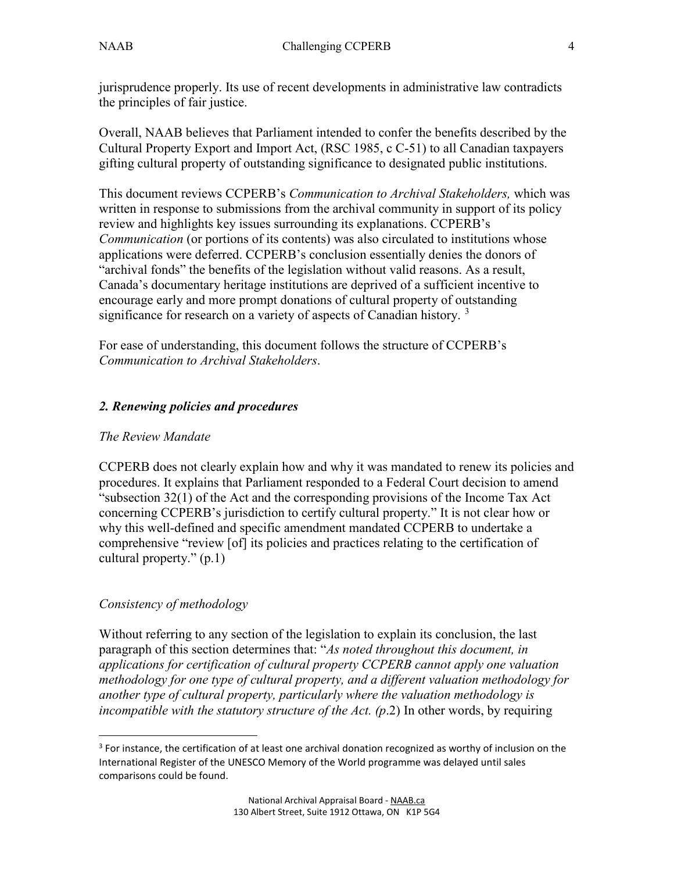jurisprudence properly. Its use of recent developments in administrative law contradicts the principles of fair justice.

Overall, NAAB believes that Parliament intended to confer the benefits described by the Cultural Property Export and Import Act, (RSC 1985, c C-51) to all Canadian taxpayers gifting cultural property of outstanding significance to designated public institutions.

This document reviews CCPERB's *Communication to Archival Stakeholders,* which was written in response to submissions from the archival community in support of its policy review and highlights key issues surrounding its explanations. CCPERB's *Communication* (or portions of its contents) was also circulated to institutions whose applications were deferred. CCPERB's conclusion essentially denies the donors of "archival fonds" the benefits of the legislation without valid reasons. As a result, Canada's documentary heritage institutions are deprived of a sufficient incentive to encourage early and more prompt donations of cultural property of outstanding significance for research on a variety of aspects of Canadian history.  $3$ 

For ease of understanding, this document follows the structure of CCPERB's *Communication to Archival Stakeholders*.

# *2. Renewing policies and procedures*

#### *The Review Mandate*

CCPERB does not clearly explain how and why it was mandated to renew its policies and procedures. It explains that Parliament responded to a Federal Court decision to amend "subsection 32(1) of the Act and the corresponding provisions of the Income Tax Act concerning CCPERB's jurisdiction to certify cultural property." It is not clear how or why this well-defined and specific amendment mandated CCPERB to undertake a comprehensive "review [of] its policies and practices relating to the certification of cultural property." (p.1)

# *Consistency of methodology*

 $\overline{a}$ 

Without referring to any section of the legislation to explain its conclusion, the last paragraph of this section determines that: "*As noted throughout this document, in applications for certification of cultural property CCPERB cannot apply one valuation methodology for one type of cultural property, and a different valuation methodology for another type of cultural property, particularly where the valuation methodology is incompatible with the statutory structure of the Act. (p*.2) In other words, by requiring

<span id="page-3-0"></span> $3$  For instance, the certification of at least one archival donation recognized as worthy of inclusion on the International Register of the UNESCO Memory of the World programme was delayed until sales comparisons could be found.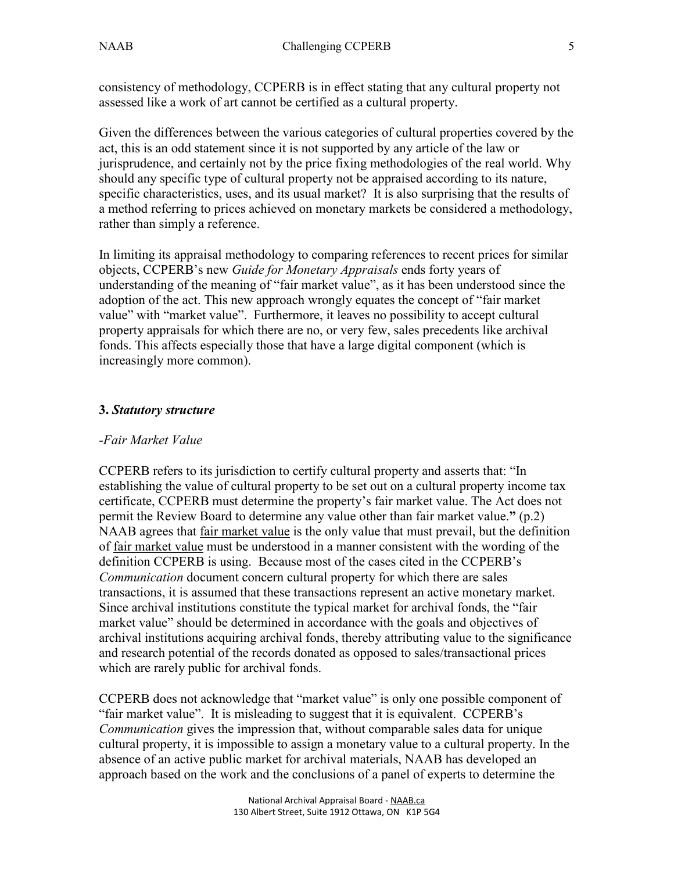consistency of methodology, CCPERB is in effect stating that any cultural property not assessed like a work of art cannot be certified as a cultural property.

Given the differences between the various categories of cultural properties covered by the act, this is an odd statement since it is not supported by any article of the law or jurisprudence, and certainly not by the price fixing methodologies of the real world. Why should any specific type of cultural property not be appraised according to its nature, specific characteristics, uses, and its usual market? It is also surprising that the results of a method referring to prices achieved on monetary markets be considered a methodology, rather than simply a reference.

In limiting its appraisal methodology to comparing references to recent prices for similar objects, CCPERB's new *Guide for Monetary Appraisals* ends forty years of understanding of the meaning of "fair market value", as it has been understood since the adoption of the act. This new approach wrongly equates the concept of "fair market value" with "market value". Furthermore, it leaves no possibility to accept cultural property appraisals for which there are no, or very few, sales precedents like archival fonds. This affects especially those that have a large digital component (which is increasingly more common).

## **3.** *Statutory structure*

#### -*Fair Market Value*

CCPERB refers to its jurisdiction to certify cultural property and asserts that: "In establishing the value of cultural property to be set out on a cultural property income tax certificate, CCPERB must determine the property's fair market value. The Act does not permit the Review Board to determine any value other than fair market value.**"** (p.2) NAAB agrees that fair market value is the only value that must prevail, but the definition of fair market value must be understood in a manner consistent with the wording of the definition CCPERB is using. Because most of the cases cited in the CCPERB's *Communication* document concern cultural property for which there are sales transactions, it is assumed that these transactions represent an active monetary market. Since archival institutions constitute the typical market for archival fonds, the "fair market value" should be determined in accordance with the goals and objectives of archival institutions acquiring archival fonds, thereby attributing value to the significance and research potential of the records donated as opposed to sales/transactional prices which are rarely public for archival fonds.

CCPERB does not acknowledge that "market value" is only one possible component of "fair market value". It is misleading to suggest that it is equivalent. CCPERB's *Communication* gives the impression that, without comparable sales data for unique cultural property, it is impossible to assign a monetary value to a cultural property. In the absence of an active public market for archival materials, NAAB has developed an approach based on the work and the conclusions of a panel of experts to determine the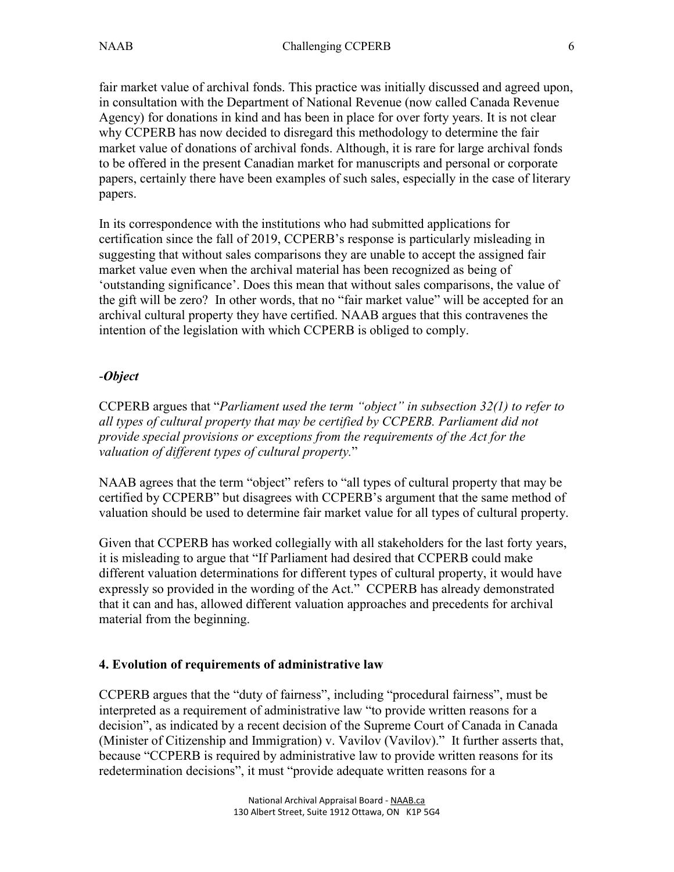fair market value of archival fonds. This practice was initially discussed and agreed upon, in consultation with the Department of National Revenue (now called Canada Revenue Agency) for donations in kind and has been in place for over forty years. It is not clear why CCPERB has now decided to disregard this methodology to determine the fair market value of donations of archival fonds. Although, it is rare for large archival fonds to be offered in the present Canadian market for manuscripts and personal or corporate papers, certainly there have been examples of such sales, especially in the case of literary papers.

In its correspondence with the institutions who had submitted applications for certification since the fall of 2019, CCPERB's response is particularly misleading in suggesting that without sales comparisons they are unable to accept the assigned fair market value even when the archival material has been recognized as being of 'outstanding significance'. Does this mean that without sales comparisons, the value of the gift will be zero? In other words, that no "fair market value" will be accepted for an archival cultural property they have certified. NAAB argues that this contravenes the intention of the legislation with which CCPERB is obliged to comply.

## -*Object*

CCPERB argues that "*Parliament used the term "object" in subsection 32(1) to refer to all types of cultural property that may be certified by CCPERB. Parliament did not provide special provisions or exceptions from the requirements of the Act for the valuation of different types of cultural property.*"

NAAB agrees that the term "object" refers to "all types of cultural property that may be certified by CCPERB" but disagrees with CCPERB's argument that the same method of valuation should be used to determine fair market value for all types of cultural property.

Given that CCPERB has worked collegially with all stakeholders for the last forty years, it is misleading to argue that "If Parliament had desired that CCPERB could make different valuation determinations for different types of cultural property, it would have expressly so provided in the wording of the Act." CCPERB has already demonstrated that it can and has, allowed different valuation approaches and precedents for archival material from the beginning.

# **4. Evolution of requirements of administrative law**

CCPERB argues that the "duty of fairness", including "procedural fairness", must be interpreted as a requirement of administrative law "to provide written reasons for a decision", as indicated by a recent decision of the Supreme Court of Canada in Canada (Minister of Citizenship and Immigration) v. Vavilov (Vavilov)." It further asserts that, because "CCPERB is required by administrative law to provide written reasons for its redetermination decisions", it must "provide adequate written reasons for a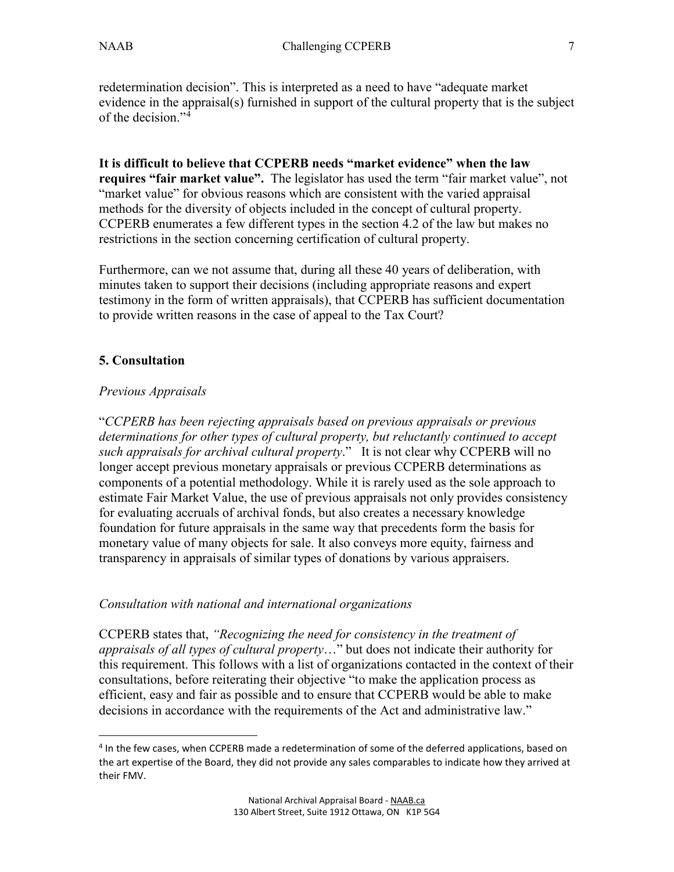redetermination decision". This is interpreted as a need to have "adequate market evidence in the appraisal(s) furnished in support of the cultural property that is the subject of the decision."<sup>[4](#page-6-0)</sup>

**It is difficult to believe that CCPERB needs "market evidence" when the law requires "fair market value".** The legislator has used the term "fair market value", not "market value" for obvious reasons which are consistent with the varied appraisal methods for the diversity of objects included in the concept of cultural property. CCPERB enumerates a few different types in the section 4.2 of the law but makes no restrictions in the section concerning certification of cultural property.

Furthermore, can we not assume that, during all these 40 years of deliberation, with minutes taken to support their decisions (including appropriate reasons and expert testimony in the form of written appraisals), that CCPERB has sufficient documentation to provide written reasons in the case of appeal to the Tax Court?

# **5. Consultation**

 $\overline{a}$ 

## *Previous Appraisals*

"*CCPERB has been rejecting appraisals based on previous appraisals or previous determinations for other types of cultural property, but reluctantly continued to accept such appraisals for archival cultural property*." It is not clear why CCPERB will no longer accept previous monetary appraisals or previous CCPERB determinations as components of a potential methodology. While it is rarely used as the sole approach to estimate Fair Market Value, the use of previous appraisals not only provides consistency for evaluating accruals of archival fonds, but also creates a necessary knowledge foundation for future appraisals in the same way that precedents form the basis for monetary value of many objects for sale. It also conveys more equity, fairness and transparency in appraisals of similar types of donations by various appraisers.

#### *Consultation with national and international organizations*

CCPERB states that, *"Recognizing the need for consistency in the treatment of appraisals of all types of cultural property*…" but does not indicate their authority for this requirement. This follows with a list of organizations contacted in the context of their consultations, before reiterating their objective "to make the application process as efficient, easy and fair as possible and to ensure that CCPERB would be able to make decisions in accordance with the requirements of the Act and administrative law."

<span id="page-6-0"></span> $4$  In the few cases, when CCPERB made a redetermination of some of the deferred applications, based on the art expertise of the Board, they did not provide any sales comparables to indicate how they arrived at their FMV.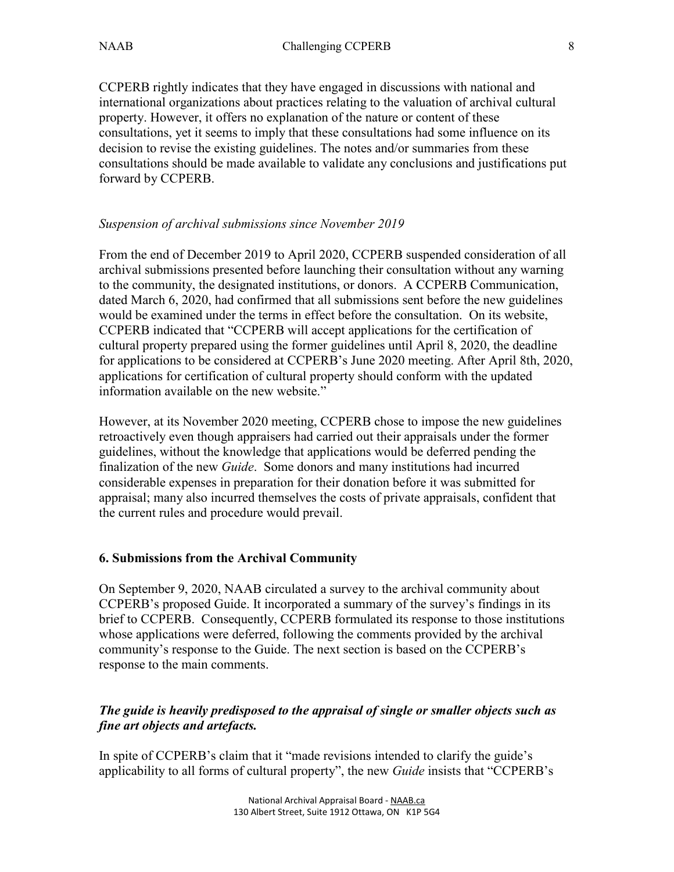CCPERB rightly indicates that they have engaged in discussions with national and international organizations about practices relating to the valuation of archival cultural property. However, it offers no explanation of the nature or content of these consultations, yet it seems to imply that these consultations had some influence on its decision to revise the existing guidelines. The notes and/or summaries from these consultations should be made available to validate any conclusions and justifications put forward by CCPERB.

#### *Suspension of archival submissions since November 2019*

From the end of December 2019 to April 2020, CCPERB suspended consideration of all archival submissions presented before launching their consultation without any warning to the community, the designated institutions, or donors. A CCPERB Communication, dated March 6, 2020, had confirmed that all submissions sent before the new guidelines would be examined under the terms in effect before the consultation. On its website, CCPERB indicated that "CCPERB will accept applications for the certification of cultural property prepared using the former guidelines until April 8, 2020, the deadline for applications to be considered at CCPERB's June 2020 meeting. After April 8th, 2020, applications for certification of cultural property should conform with the updated information available on the new website."

However, at its November 2020 meeting, CCPERB chose to impose the new guidelines retroactively even though appraisers had carried out their appraisals under the former guidelines, without the knowledge that applications would be deferred pending the finalization of the new *Guide*. Some donors and many institutions had incurred considerable expenses in preparation for their donation before it was submitted for appraisal; many also incurred themselves the costs of private appraisals, confident that the current rules and procedure would prevail.

#### **6. Submissions from the Archival Community**

On September 9, 2020, NAAB circulated a survey to the archival community about CCPERB's proposed Guide. It incorporated a summary of the survey's findings in its brief to CCPERB. Consequently, CCPERB formulated its response to those institutions whose applications were deferred, following the comments provided by the archival community's response to the Guide. The next section is based on the CCPERB's response to the main comments.

## *The guide is heavily predisposed to the appraisal of single or smaller objects such as fine art objects and artefacts.*

In spite of CCPERB's claim that it "made revisions intended to clarify the guide's applicability to all forms of cultural property", the new *Guide* insists that "CCPERB's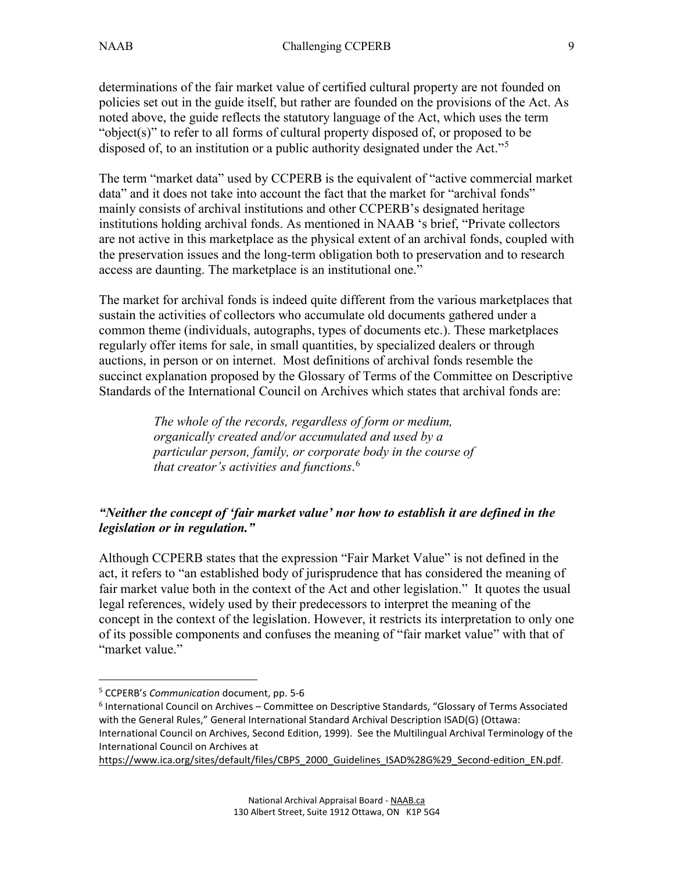determinations of the fair market value of certified cultural property are not founded on policies set out in the guide itself, but rather are founded on the provisions of the Act. As noted above, the guide reflects the statutory language of the Act, which uses the term "object(s)" to refer to all forms of cultural property disposed of, or proposed to be disposed of, to an institution or a public authority designated under the Act."<sup>[5](#page-8-0)</sup>

The term "market data" used by CCPERB is the equivalent of "active commercial market data" and it does not take into account the fact that the market for "archival fonds" mainly consists of archival institutions and other CCPERB's designated heritage institutions holding archival fonds. As mentioned in NAAB 's brief, "Private collectors are not active in this marketplace as the physical extent of an archival fonds, coupled with the preservation issues and the long-term obligation both to preservation and to research access are daunting. The marketplace is an institutional one."

The market for archival fonds is indeed quite different from the various marketplaces that sustain the activities of collectors who accumulate old documents gathered under a common theme (individuals, autographs, types of documents etc.). These marketplaces regularly offer items for sale, in small quantities, by specialized dealers or through auctions, in person or on internet. Most definitions of archival fonds resemble the succinct explanation proposed by the Glossary of Terms of the Committee on Descriptive Standards of the International Council on Archives which states that archival fonds are:

> *The whole of the records, regardless of form or medium, organically created and/or accumulated and used by a particular person, family, or corporate body in the course of that creator's activities and functions*. [6](#page-8-1)

## *"Neither the concept of 'fair market value' nor how to establish it are defined in the legislation or in regulation."*

Although CCPERB states that the expression "Fair Market Value" is not defined in the act, it refers to "an established body of jurisprudence that has considered the meaning of fair market value both in the context of the Act and other legislation." It quotes the usual legal references, widely used by their predecessors to interpret the meaning of the concept in the context of the legislation. However, it restricts its interpretation to only one of its possible components and confuses the meaning of "fair market value" with that of "market value."

 $\overline{a}$ 

<span id="page-8-0"></span><sup>5</sup> CCPERB's *Communication* document, pp. 5-6

<span id="page-8-1"></span><sup>6</sup> International Council on Archives – Committee on Descriptive Standards, "Glossary of Terms Associated with the General Rules," General International Standard Archival Description ISAD(G) (Ottawa: International Council on Archives, Second Edition, 1999). See the Multilingual Archival Terminology of the International Council on Archives at

[https://www.ica.org/sites/default/files/CBPS\\_2000\\_Guidelines\\_ISAD%28G%29\\_Second-edition\\_EN.pdf.](https://www.ica.org/sites/default/files/CBPS_2000_Guidelines_ISAD%28G%29_Second-edition_EN.pdf)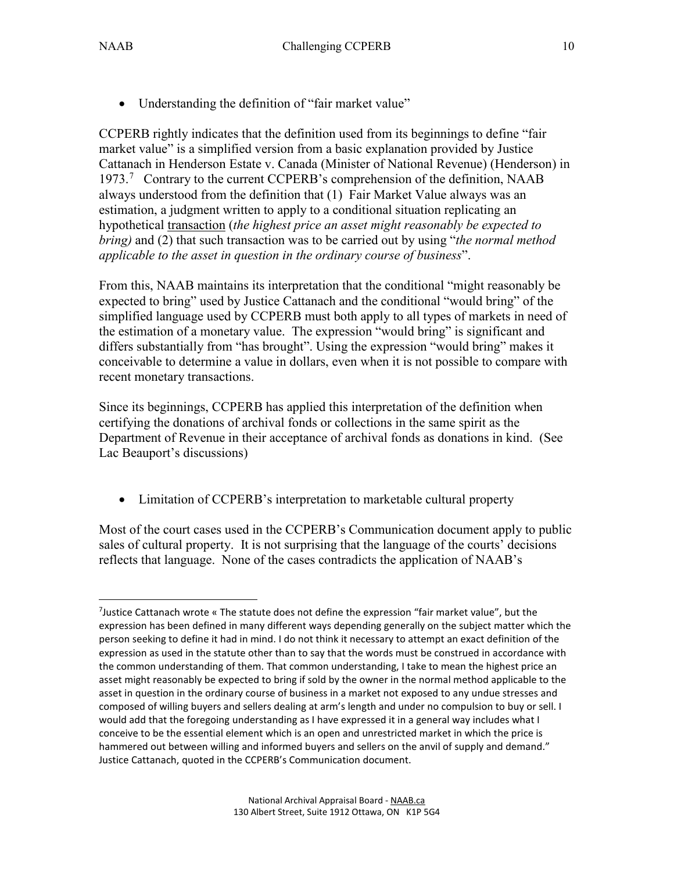• Understanding the definition of "fair market value"

CCPERB rightly indicates that the definition used from its beginnings to define "fair market value" is a simplified version from a basic explanation provided by Justice Cattanach in Henderson Estate v. Canada (Minister of National Revenue) (Henderson) in 19[7](#page-9-0)3.<sup>7</sup> Contrary to the current CCPERB's comprehension of the definition, NAAB always understood from the definition that (1) Fair Market Value always was an estimation, a judgment written to apply to a conditional situation replicating an hypothetical transaction (*the highest price an asset might reasonably be expected to bring)* and (2) that such transaction was to be carried out by using "*the normal method applicable to the asset in question in the ordinary course of business*".

From this, NAAB maintains its interpretation that the conditional "might reasonably be expected to bring" used by Justice Cattanach and the conditional "would bring" of the simplified language used by CCPERB must both apply to all types of markets in need of the estimation of a monetary value. The expression "would bring" is significant and differs substantially from "has brought". Using the expression "would bring" makes it conceivable to determine a value in dollars, even when it is not possible to compare with recent monetary transactions.

Since its beginnings, CCPERB has applied this interpretation of the definition when certifying the donations of archival fonds or collections in the same spirit as the Department of Revenue in their acceptance of archival fonds as donations in kind. (See Lac Beauport's discussions)

• Limitation of CCPERB's interpretation to marketable cultural property

Most of the court cases used in the CCPERB's Communication document apply to public sales of cultural property. It is not surprising that the language of the courts' decisions reflects that language. None of the cases contradicts the application of NAAB's

<span id="page-9-0"></span> $\overline{a}$ <sup>7</sup>Justice Cattanach wrote « The statute does not define the expression "fair market value", but the expression has been defined in many different ways depending generally on the subject matter which the person seeking to define it had in mind. I do not think it necessary to attempt an exact definition of the expression as used in the statute other than to say that the words must be construed in accordance with the common understanding of them. That common understanding, I take to mean the highest price an asset might reasonably be expected to bring if sold by the owner in the normal method applicable to the asset in question in the ordinary course of business in a market not exposed to any undue stresses and composed of willing buyers and sellers dealing at arm's length and under no compulsion to buy or sell. I would add that the foregoing understanding as I have expressed it in a general way includes what I conceive to be the essential element which is an open and unrestricted market in which the price is hammered out between willing and informed buyers and sellers on the anvil of supply and demand." Justice Cattanach, quoted in the CCPERB's Communication document.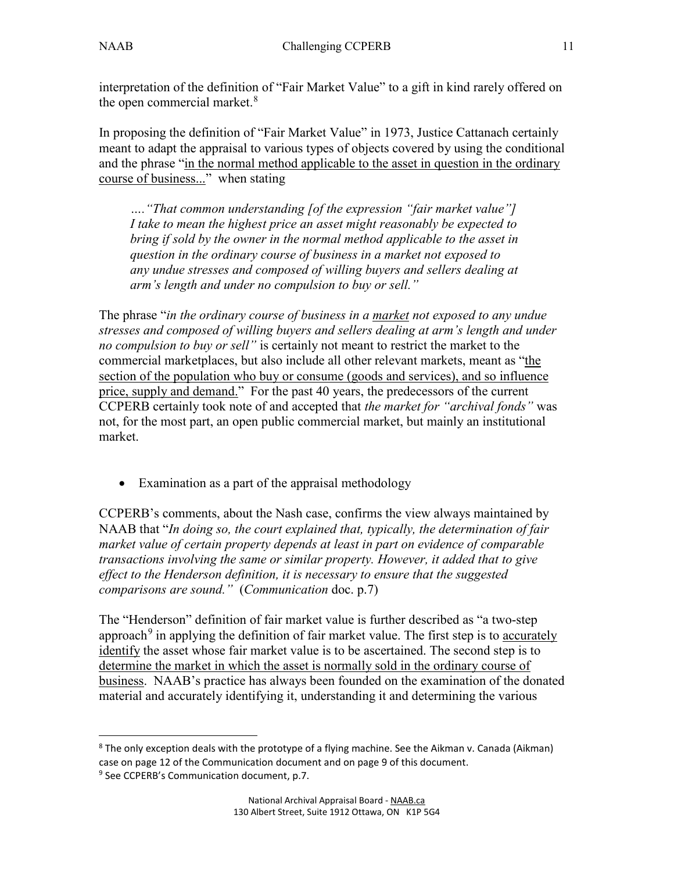$\overline{a}$ 

interpretation of the definition of "Fair Market Value" to a gift in kind rarely offered on the open commercial market.<sup>[8](#page-10-0)</sup>

In proposing the definition of "Fair Market Value" in 1973, Justice Cattanach certainly meant to adapt the appraisal to various types of objects covered by using the conditional and the phrase "in the normal method applicable to the asset in question in the ordinary course of business..." when stating

*…."That common understanding [of the expression "fair market value"] I take to mean the highest price an asset might reasonably be expected to bring if sold by the owner in the normal method applicable to the asset in question in the ordinary course of business in a market not exposed to any undue stresses and composed of willing buyers and sellers dealing at arm's length and under no compulsion to buy or sell."*

The phrase "*in the ordinary course of business in a market not exposed to any undue stresses and composed of willing buyers and sellers dealing at arm's length and under no compulsion to buy or sell"* is certainly not meant to restrict the market to the commercial marketplaces, but also include all other relevant markets, meant as "the section of the population who buy or consume (goods and services), and so influence price, supply and demand." For the past 40 years, the predecessors of the current CCPERB certainly took note of and accepted that *the market for "archival fonds"* was not, for the most part, an open public commercial market, but mainly an institutional market.

• Examination as a part of the appraisal methodology

CCPERB's comments, about the Nash case, confirms the view always maintained by NAAB that "*In doing so, the court explained that, typically, the determination of fair market value of certain property depends at least in part on evidence of comparable transactions involving the same or similar property. However, it added that to give effect to the Henderson definition, it is necessary to ensure that the suggested comparisons are sound."* (*Communication* doc. p.7)

The "Henderson" definition of fair market value is further described as "a two-step approach<sup>[9](#page-10-1)</sup> in applying the definition of fair market value. The first step is to accurately identify the asset whose fair market value is to be ascertained. The second step is to determine the market in which the asset is normally sold in the ordinary course of business. NAAB's practice has always been founded on the examination of the donated material and accurately identifying it, understanding it and determining the various

<span id="page-10-1"></span><span id="page-10-0"></span><sup>&</sup>lt;sup>8</sup> The only exception deals with the prototype of a flying machine. See the Aikman v. Canada (Aikman) case on page 12 of the Communication document and on page 9 of this document.  $9$  See CCPERB's Communication document, p.7.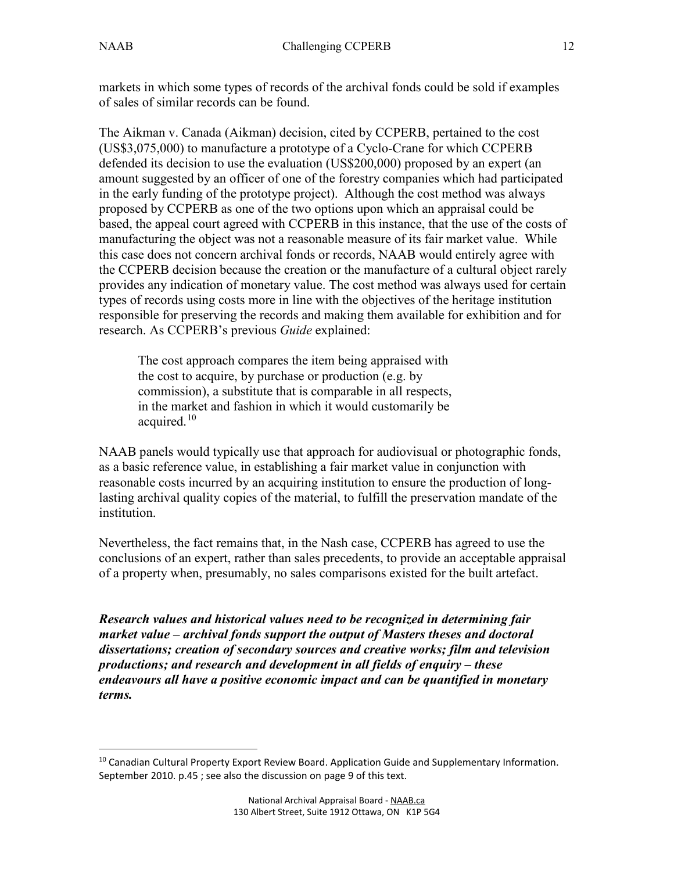$\overline{a}$ 

markets in which some types of records of the archival fonds could be sold if examples of sales of similar records can be found.

The Aikman v. Canada (Aikman) decision, cited by CCPERB, pertained to the cost (US\$3,075,000) to manufacture a prototype of a Cyclo-Crane for which CCPERB defended its decision to use the evaluation (US\$200,000) proposed by an expert (an amount suggested by an officer of one of the forestry companies which had participated in the early funding of the prototype project). Although the cost method was always proposed by CCPERB as one of the two options upon which an appraisal could be based, the appeal court agreed with CCPERB in this instance, that the use of the costs of manufacturing the object was not a reasonable measure of its fair market value. While this case does not concern archival fonds or records, NAAB would entirely agree with the CCPERB decision because the creation or the manufacture of a cultural object rarely provides any indication of monetary value. The cost method was always used for certain types of records using costs more in line with the objectives of the heritage institution responsible for preserving the records and making them available for exhibition and for research. As CCPERB's previous *Guide* explained:

The cost approach compares the item being appraised with the cost to acquire, by purchase or production (e.g. by commission), a substitute that is comparable in all respects, in the market and fashion in which it would customarily be acquired.<sup>[10](#page-11-0)</sup>

NAAB panels would typically use that approach for audiovisual or photographic fonds, as a basic reference value, in establishing a fair market value in conjunction with reasonable costs incurred by an acquiring institution to ensure the production of longlasting archival quality copies of the material, to fulfill the preservation mandate of the institution.

Nevertheless, the fact remains that, in the Nash case, CCPERB has agreed to use the conclusions of an expert, rather than sales precedents, to provide an acceptable appraisal of a property when, presumably, no sales comparisons existed for the built artefact.

*Research values and historical values need to be recognized in determining fair market value – archival fonds support the output of Masters theses and doctoral dissertations; creation of secondary sources and creative works; film and television productions; and research and development in all fields of enquiry – these endeavours all have a positive economic impact and can be quantified in monetary terms.*

<span id="page-11-0"></span><sup>&</sup>lt;sup>10</sup> Canadian Cultural Property Export Review Board. Application Guide and Supplementary Information. September 2010. p.45 ; see also the discussion on page 9 of this text.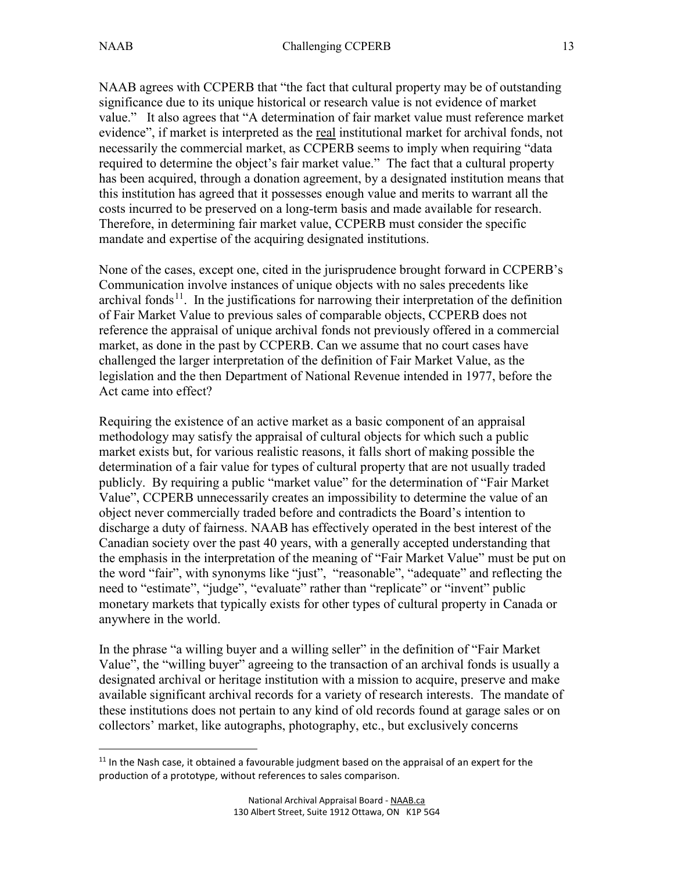NAAB agrees with CCPERB that "the fact that cultural property may be of outstanding significance due to its unique historical or research value is not evidence of market value." It also agrees that "A determination of fair market value must reference market evidence", if market is interpreted as the real institutional market for archival fonds, not necessarily the commercial market, as CCPERB seems to imply when requiring "data required to determine the object's fair market value." The fact that a cultural property has been acquired, through a donation agreement, by a designated institution means that this institution has agreed that it possesses enough value and merits to warrant all the costs incurred to be preserved on a long-term basis and made available for research. Therefore, in determining fair market value, CCPERB must consider the specific mandate and expertise of the acquiring designated institutions.

None of the cases, except one, cited in the jurisprudence brought forward in CCPERB's Communication involve instances of unique objects with no sales precedents like archival fonds<sup>[11](#page-12-0)</sup>. In the justifications for narrowing their interpretation of the definition of Fair Market Value to previous sales of comparable objects, CCPERB does not reference the appraisal of unique archival fonds not previously offered in a commercial market, as done in the past by CCPERB. Can we assume that no court cases have challenged the larger interpretation of the definition of Fair Market Value, as the legislation and the then Department of National Revenue intended in 1977, before the Act came into effect?

Requiring the existence of an active market as a basic component of an appraisal methodology may satisfy the appraisal of cultural objects for which such a public market exists but, for various realistic reasons, it falls short of making possible the determination of a fair value for types of cultural property that are not usually traded publicly. By requiring a public "market value" for the determination of "Fair Market Value", CCPERB unnecessarily creates an impossibility to determine the value of an object never commercially traded before and contradicts the Board's intention to discharge a duty of fairness. NAAB has effectively operated in the best interest of the Canadian society over the past 40 years, with a generally accepted understanding that the emphasis in the interpretation of the meaning of "Fair Market Value" must be put on the word "fair", with synonyms like "just", "reasonable", "adequate" and reflecting the need to "estimate", "judge", "evaluate" rather than "replicate" or "invent" public monetary markets that typically exists for other types of cultural property in Canada or anywhere in the world.

In the phrase "a willing buyer and a willing seller" in the definition of "Fair Market Value", the "willing buyer" agreeing to the transaction of an archival fonds is usually a designated archival or heritage institution with a mission to acquire, preserve and make available significant archival records for a variety of research interests. The mandate of these institutions does not pertain to any kind of old records found at garage sales or on collectors' market, like autographs, photography, etc., but exclusively concerns

<span id="page-12-0"></span> $\overline{a}$  $11$  In the Nash case, it obtained a favourable judgment based on the appraisal of an expert for the production of a prototype, without references to sales comparison.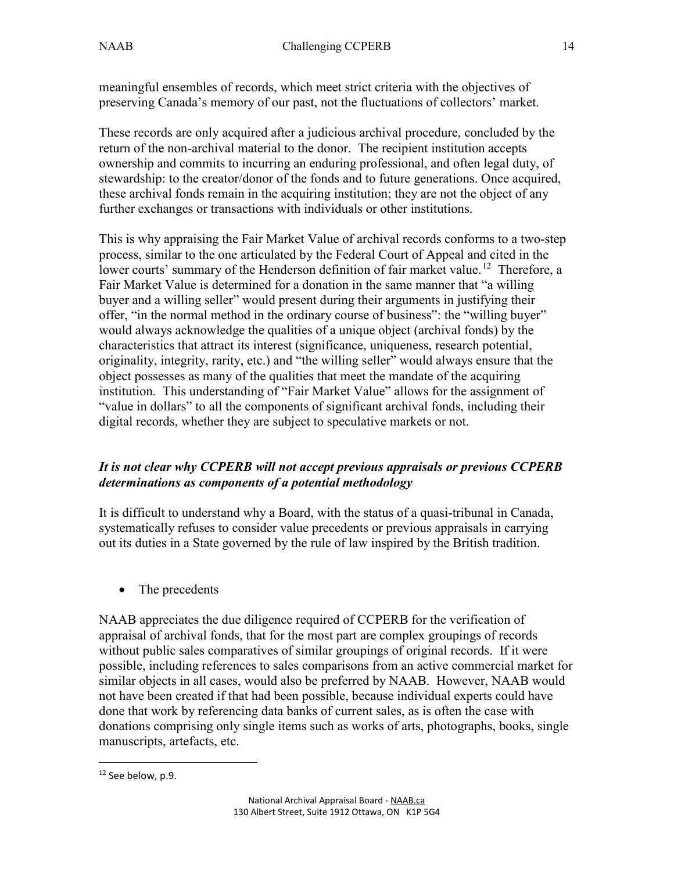meaningful ensembles of records, which meet strict criteria with the objectives of preserving Canada's memory of our past, not the fluctuations of collectors' market.

These records are only acquired after a judicious archival procedure, concluded by the return of the non-archival material to the donor. The recipient institution accepts ownership and commits to incurring an enduring professional, and often legal duty, of stewardship: to the creator/donor of the fonds and to future generations. Once acquired, these archival fonds remain in the acquiring institution; they are not the object of any further exchanges or transactions with individuals or other institutions.

This is why appraising the Fair Market Value of archival records conforms to a two-step process, similar to the one articulated by the Federal Court of Appeal and cited in the lower courts' summary of the Henderson definition of fair market value.<sup>[12](#page-13-0)</sup> Therefore, a Fair Market Value is determined for a donation in the same manner that "a willing buyer and a willing seller" would present during their arguments in justifying their offer, "in the normal method in the ordinary course of business": the "willing buyer" would always acknowledge the qualities of a unique object (archival fonds) by the characteristics that attract its interest (significance, uniqueness, research potential, originality, integrity, rarity, etc.) and "the willing seller" would always ensure that the object possesses as many of the qualities that meet the mandate of the acquiring institution. This understanding of "Fair Market Value" allows for the assignment of "value in dollars" to all the components of significant archival fonds, including their digital records, whether they are subject to speculative markets or not.

# *It is not clear why CCPERB will not accept previous appraisals or previous CCPERB determinations as components of a potential methodology*

It is difficult to understand why a Board, with the status of a quasi-tribunal in Canada, systematically refuses to consider value precedents or previous appraisals in carrying out its duties in a State governed by the rule of law inspired by the British tradition.

• The precedents

NAAB appreciates the due diligence required of CCPERB for the verification of appraisal of archival fonds, that for the most part are complex groupings of records without public sales comparatives of similar groupings of original records. If it were possible, including references to sales comparisons from an active commercial market for similar objects in all cases, would also be preferred by NAAB. However, NAAB would not have been created if that had been possible, because individual experts could have done that work by referencing data banks of current sales, as is often the case with donations comprising only single items such as works of arts, photographs, books, single manuscripts, artefacts, etc.

<span id="page-13-0"></span> $\overline{a}$ <sup>12</sup> See below, p.9.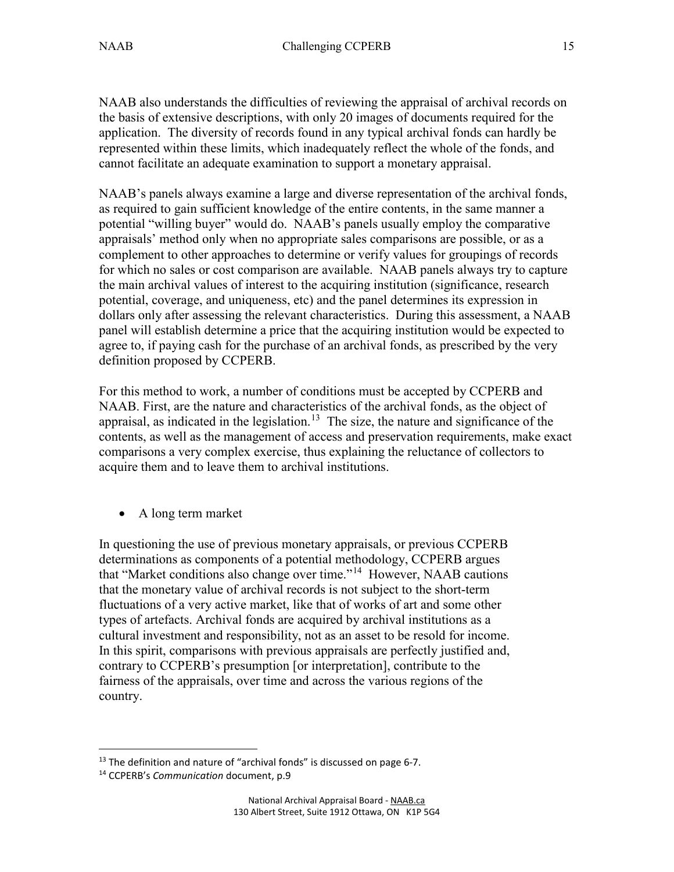NAAB also understands the difficulties of reviewing the appraisal of archival records on the basis of extensive descriptions, with only 20 images of documents required for the application. The diversity of records found in any typical archival fonds can hardly be represented within these limits, which inadequately reflect the whole of the fonds, and cannot facilitate an adequate examination to support a monetary appraisal.

NAAB's panels always examine a large and diverse representation of the archival fonds, as required to gain sufficient knowledge of the entire contents, in the same manner a potential "willing buyer" would do. NAAB's panels usually employ the comparative appraisals' method only when no appropriate sales comparisons are possible, or as a complement to other approaches to determine or verify values for groupings of records for which no sales or cost comparison are available. NAAB panels always try to capture the main archival values of interest to the acquiring institution (significance, research potential, coverage, and uniqueness, etc) and the panel determines its expression in dollars only after assessing the relevant characteristics. During this assessment, a NAAB panel will establish determine a price that the acquiring institution would be expected to agree to, if paying cash for the purchase of an archival fonds, as prescribed by the very definition proposed by CCPERB.

For this method to work, a number of conditions must be accepted by CCPERB and NAAB. First, are the nature and characteristics of the archival fonds, as the object of appraisal, as indicated in the legislation.<sup>[13](#page-14-0)</sup> The size, the nature and significance of the contents, as well as the management of access and preservation requirements, make exact comparisons a very complex exercise, thus explaining the reluctance of collectors to acquire them and to leave them to archival institutions.

• A long term market

In questioning the use of previous monetary appraisals, or previous CCPERB determinations as components of a potential methodology, CCPERB argues that "Market conditions also change over time."<sup>14</sup> However, NAAB cautions that the monetary value of archival records is not subject to the short-term fluctuations of a very active market, like that of works of art and some other types of artefacts. Archival fonds are acquired by archival institutions as a cultural investment and responsibility, not as an asset to be resold for income. In this spirit, comparisons with previous appraisals are perfectly justified and, contrary to CCPERB's presumption [or interpretation], contribute to the fairness of the appraisals, over time and across the various regions of the country.

 $\overline{a}$ 

<span id="page-14-0"></span> $13$  The definition and nature of "archival fonds" is discussed on page 6-7.

<span id="page-14-1"></span><sup>14</sup> CCPERB's *Communication* document, p.9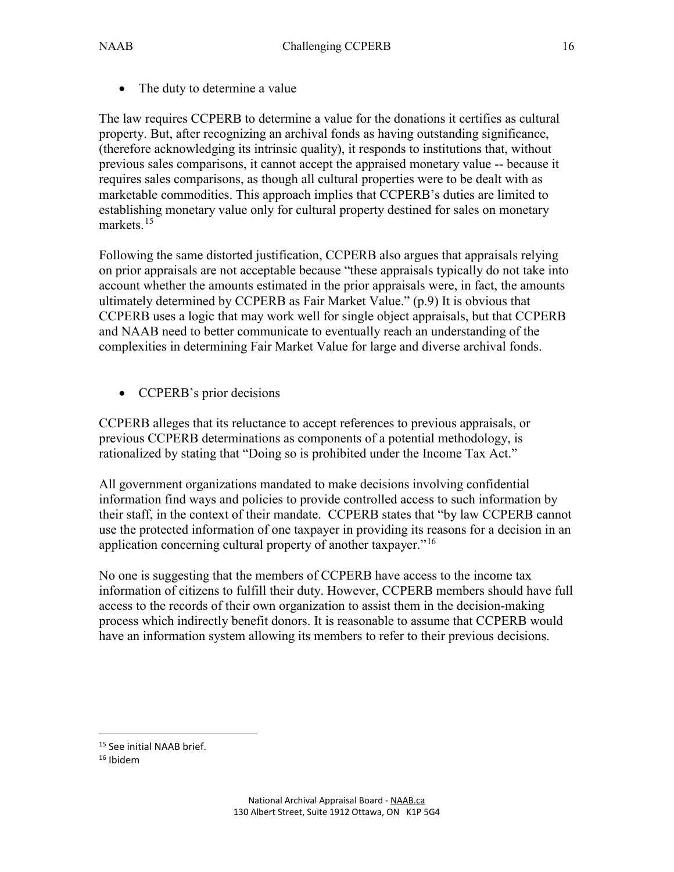• The duty to determine a value

The law requires CCPERB to determine a value for the donations it certifies as cultural property. But, after recognizing an archival fonds as having outstanding significance, (therefore acknowledging its intrinsic quality), it responds to institutions that, without previous sales comparisons, it cannot accept the appraised monetary value -- because it requires sales comparisons, as though all cultural properties were to be dealt with as marketable commodities. This approach implies that CCPERB's duties are limited to establishing monetary value only for cultural property destined for sales on monetary markets.<sup>[15](#page-15-0)</sup>

Following the same distorted justification, CCPERB also argues that appraisals relying on prior appraisals are not acceptable because "these appraisals typically do not take into account whether the amounts estimated in the prior appraisals were, in fact, the amounts ultimately determined by CCPERB as Fair Market Value." (p.9) It is obvious that CCPERB uses a logic that may work well for single object appraisals, but that CCPERB and NAAB need to better communicate to eventually reach an understanding of the complexities in determining Fair Market Value for large and diverse archival fonds.

• CCPERB's prior decisions

CCPERB alleges that its reluctance to accept references to previous appraisals, or previous CCPERB determinations as components of a potential methodology, is rationalized by stating that "Doing so is prohibited under the Income Tax Act."

All government organizations mandated to make decisions involving confidential information find ways and policies to provide controlled access to such information by their staff, in the context of their mandate. CCPERB states that "by law CCPERB cannot use the protected information of one taxpayer in providing its reasons for a decision in an application concerning cultural property of another taxpayer."<sup>[16](#page-15-1)</sup>

No one is suggesting that the members of CCPERB have access to the income tax information of citizens to fulfill their duty. However, CCPERB members should have full access to the records of their own organization to assist them in the decision-making process which indirectly benefit donors. It is reasonable to assume that CCPERB would have an information system allowing its members to refer to their previous decisions.

<span id="page-15-0"></span> $\overline{a}$  $15$  See initial NAAB brief.<br> $16$  Ibidem

<span id="page-15-1"></span>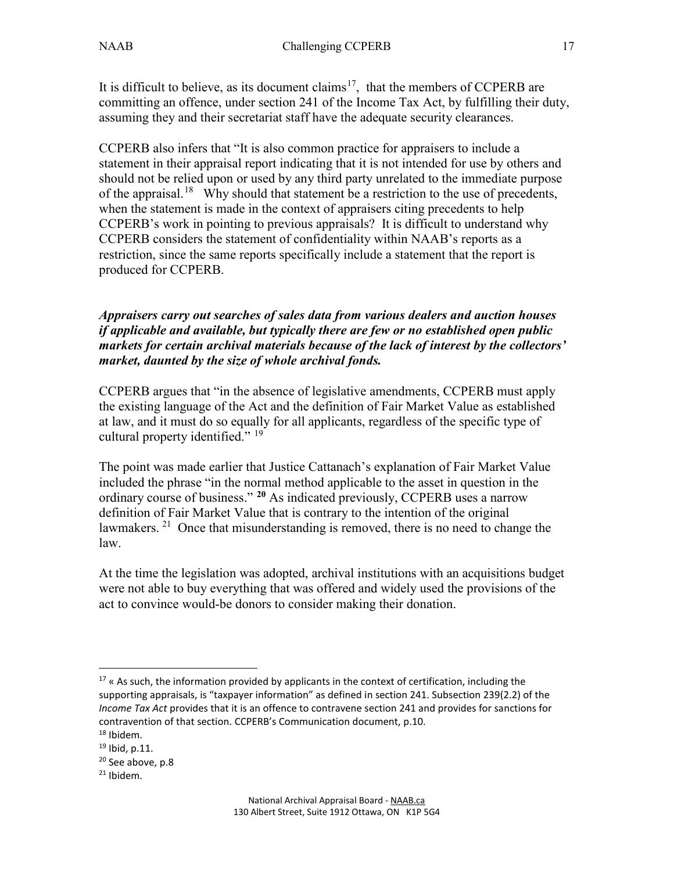It is difficult to believe, as its document claims<sup>17</sup>, that the members of CCPERB are committing an offence, under section 241 of the Income Tax Act, by fulfilling their duty, assuming they and their secretariat staff have the adequate security clearances.

CCPERB also infers that "It is also common practice for appraisers to include a statement in their appraisal report indicating that it is not intended for use by others and should not be relied upon or used by any third party unrelated to the immediate purpose of the appraisal.<sup>18</sup> Why should that statement be a restriction to the use of precedents, when the statement is made in the context of appraisers citing precedents to help CCPERB's work in pointing to previous appraisals? It is difficult to understand why CCPERB considers the statement of confidentiality within NAAB's reports as a restriction, since the same reports specifically include a statement that the report is produced for CCPERB.

*Appraisers carry out searches of sales data from various dealers and auction houses if applicable and available, but typically there are few or no established open public markets for certain archival materials because of the lack of interest by the collectors' market, daunted by the size of whole archival fonds.*

CCPERB argues that "in the absence of legislative amendments, CCPERB must apply the existing language of the Act and the definition of Fair Market Value as established at law, and it must do so equally for all applicants, regardless of the specific type of cultural property identified." <sup>[19](#page-16-2)</sup>

The point was made earlier that Justice Cattanach's explanation of Fair Market Value included the phrase "in the normal method applicable to the asset in question in the ordinary course of business." **[20](#page-16-3)** As indicated previously, CCPERB uses a narrow definition of Fair Market Value that is contrary to the intention of the original lawmakers. <sup>21</sup> Once that misunderstanding is removed, there is no need to change the law.

At the time the legislation was adopted, archival institutions with an acquisitions budget were not able to buy everything that was offered and widely used the provisions of the act to convince would-be donors to consider making their donation.

<span id="page-16-0"></span> $\overline{a}$  $17$  « As such, the information provided by applicants in the context of certification, including the supporting appraisals, is "taxpayer information" as defined in section 241. Subsection 239(2.2) of the *Income Tax Act* provides that it is an offence to contravene section 241 and provides for sanctions for contravention of that section. CCPERB's Communication document, p.10.

<span id="page-16-2"></span><span id="page-16-1"></span><sup>18</sup> Ibidem.

 $19$  Ibid, p.11.

<span id="page-16-3"></span> $20$  See above, p.8

<span id="page-16-4"></span> $21$  Ibidem.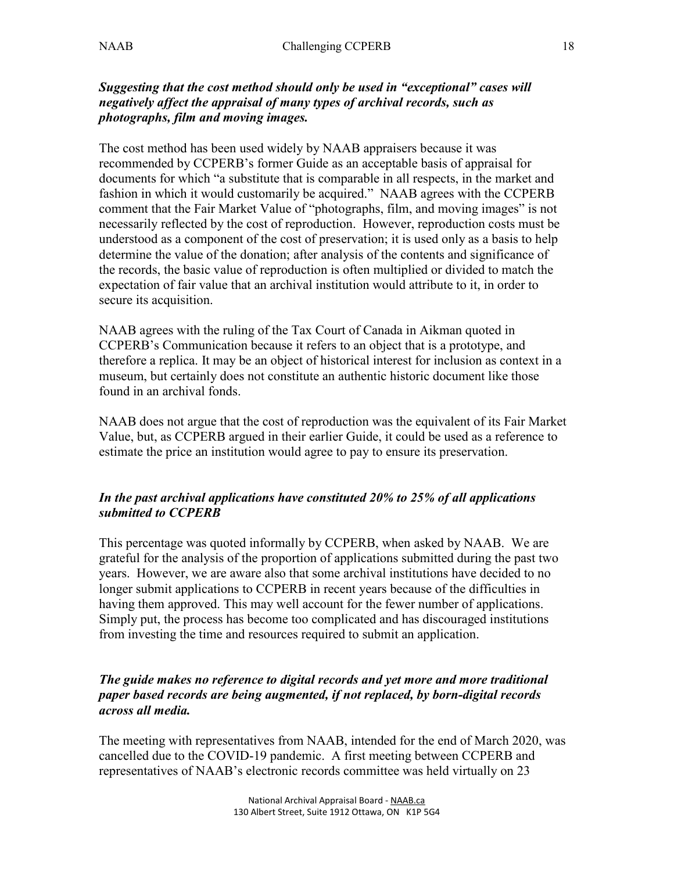## *Suggesting that the cost method should only be used in "exceptional" cases will negatively affect the appraisal of many types of archival records, such as photographs, film and moving images.*

The cost method has been used widely by NAAB appraisers because it was recommended by CCPERB's former Guide as an acceptable basis of appraisal for documents for which "a substitute that is comparable in all respects, in the market and fashion in which it would customarily be acquired." NAAB agrees with the CCPERB comment that the Fair Market Value of "photographs, film, and moving images" is not necessarily reflected by the cost of reproduction. However, reproduction costs must be understood as a component of the cost of preservation; it is used only as a basis to help determine the value of the donation; after analysis of the contents and significance of the records, the basic value of reproduction is often multiplied or divided to match the expectation of fair value that an archival institution would attribute to it, in order to secure its acquisition.

NAAB agrees with the ruling of the Tax Court of Canada in Aikman quoted in CCPERB's Communication because it refers to an object that is a prototype, and therefore a replica. It may be an object of historical interest for inclusion as context in a museum, but certainly does not constitute an authentic historic document like those found in an archival fonds.

NAAB does not argue that the cost of reproduction was the equivalent of its Fair Market Value, but, as CCPERB argued in their earlier Guide, it could be used as a reference to estimate the price an institution would agree to pay to ensure its preservation.

## *In the past archival applications have constituted 20% to 25% of all applications submitted to CCPERB*

This percentage was quoted informally by CCPERB, when asked by NAAB. We are grateful for the analysis of the proportion of applications submitted during the past two years. However, we are aware also that some archival institutions have decided to no longer submit applications to CCPERB in recent years because of the difficulties in having them approved. This may well account for the fewer number of applications. Simply put, the process has become too complicated and has discouraged institutions from investing the time and resources required to submit an application.

## *The guide makes no reference to digital records and yet more and more traditional paper based records are being augmented, if not replaced, by born-digital records across all media.*

The meeting with representatives from NAAB, intended for the end of March 2020, was cancelled due to the COVID-19 pandemic. A first meeting between CCPERB and representatives of NAAB's electronic records committee was held virtually on 23